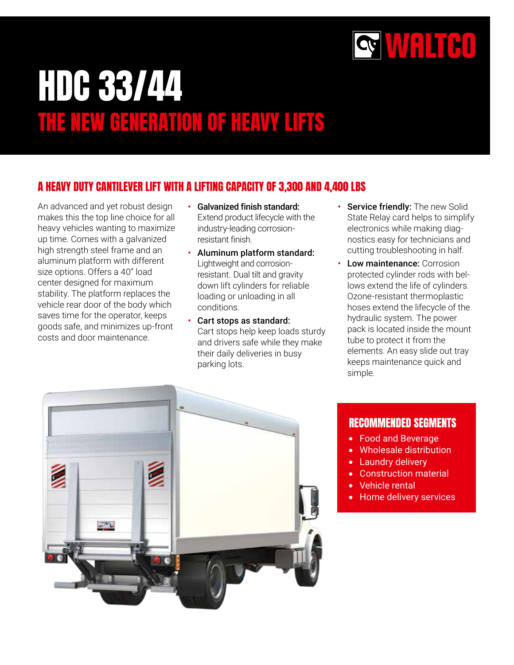

# HDC 33/44 THE NEW GENERATION OF HEAVY LIFTS

### A HEAVY DUTY CANTILEVER LIFT WITH A LIFTING CAPACITY OF 3,300 AND 4,400 LBS

An advanced and yet robust design makes this the top line choice for all heavy vehicles wanting to maximize up time. Comes with a galvanized high strength steel frame and an aluminum platform with different size options. Offers a 40" load center designed for maximum stability. The platform replaces the vehicle rear door of the body which saves time for the operator, keeps goods safe, and minimizes up-front costs and door maintenance.

- Galvanized finish standard: Extend product lifecycle with the industry-leading corrosionresistant finish.
- Aluminum platform standard: Lightweight and corrosionresistant. Dual tilt and gravity down lift cylinders for reliable loading or unloading in all conditions.
- Cart stops as standard: Cart stops help keep loads sturdy and drivers safe while they make their daily deliveries in busy parking lots.
- Service friendly: The new Solid State Relay card helps to simplify electronics while making diagnostics easy for technicians and cutting troubleshooting in half.
- Low maintenance: Corrosion protected cylinder rods with bellows extend the life of cylinders. Ozone-resistant thermoplastic hoses extend the lifecycle of the hydraulic system. The power pack is located inside the mount tube to protect it from the elements. An easy slide out tray keeps maintenance quick and simple.



#### RECOMMENDED SEGMENTS

- Food and Beverage
- Wholesale distribution
- Laundry delivery
- Construction material
- Vehicle rental
- Home delivery services